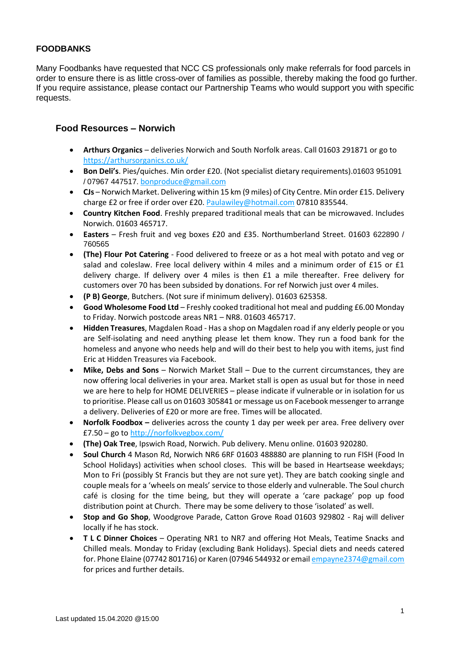# **FOODBANKS**

Many Foodbanks have requested that NCC CS professionals only make referrals for food parcels in order to ensure there is as little cross-over of families as possible, thereby making the food go further. If you require assistance, please contact our Partnership Teams who would support you with specific requests.

## **Food Resources – Norwich**

- **Arthurs Organics** deliveries Norwich and South Norfolk areas. Call 01603 291871 or go to <https://arthursorganics.co.uk/>
- **Bon Deli's**. Pies/quiches. Min order £20. (Not specialist dietary requirements).01603 951091 / 07967 447517. [bonproduce@gmail.com](mailto:bonproduce@gmail.com)
- **CJs** Norwich Market. Delivering within 15 km (9 miles) of City Centre. Min order £15. Delivery charge £2 or free if order over £20. [Paulawiley@hotmail.com](mailto:Paulawiley@hotmail.com) 07810 835544.
- **Country Kitchen Food**. Freshly prepared traditional meals that can be microwaved. Includes Norwich. 01603 465717.
- **Easters** Fresh fruit and veg boxes £20 and £35. Northumberland Street. 01603 622890 / 760565
- **(The) Flour Pot Catering** Food delivered to freeze or as a hot meal with potato and veg or salad and coleslaw. Free local delivery within 4 miles and a minimum order of £15 or £1 delivery charge. If delivery over 4 miles is then £1 a mile thereafter. Free delivery for customers over 70 has been subsided by donations. For ref Norwich just over 4 miles.
- **(P B) George**, Butchers. (Not sure if minimum delivery). 01603 625358.
- **Good Wholesome Food Ltd** Freshly cooked traditional hot meal and pudding £6.00 Monday to Friday. Norwich postcode areas NR1 – NR8. 01603 465717.
- **Hidden Treasures**, Magdalen Road Has a shop on Magdalen road if any elderly people or you are Self-isolating and need anything please let them know. They run a food bank for the homeless and anyone who needs help and will do their best to help you with items, just find Eric at Hidden Treasures via Facebook.
- **Mike, Debs and Sons** Norwich Market Stall Due to the current circumstances, they are now offering local deliveries in your area. Market stall is open as usual but for those in need we are here to help for HOME DELIVERIES – please indicate if vulnerable or in isolation for us to prioritise. Please call us on 01603 305841 or message us on Facebook messenger to arrange a delivery. Deliveries of £20 or more are free. Times will be allocated.
- **Norfolk Foodbox –** deliveries across the county 1 day per week per area. Free delivery over £7.50 – go t[o http://norfolkvegbox.com/](http://norfolkvegbox.com/)
- **(The) Oak Tree**, Ipswich Road, Norwich. Pub delivery. Menu online. 01603 920280.
- **Soul Church** 4 Mason Rd, Norwich NR6 6RF 01603 488880 are planning to run FISH (Food In School Holidays) activities when school closes. This will be based in Heartsease weekdays; Mon to Fri (possibly St Francis but they are not sure yet). They are batch cooking single and couple meals for a 'wheels on meals' service to those elderly and vulnerable. The Soul church café is closing for the time being, but they will operate a 'care package' pop up food distribution point at Church. There may be some delivery to those 'isolated' as well.
- **Stop and Go Shop**, Woodgrove Parade, Catton Grove Road 01603 929802 Raj will deliver locally if he has stock.
- **T L C Dinner Choices** Operating NR1 to NR7 and offering Hot Meals, Teatime Snacks and Chilled meals. Monday to Friday (excluding Bank Holidays). Special diets and needs catered for. Phone Elaine (07742 801716) or Karen (07946 544932 or emai[l empayne2374@gmail.com](mailto:empayne2374@gmail.com) for prices and further details.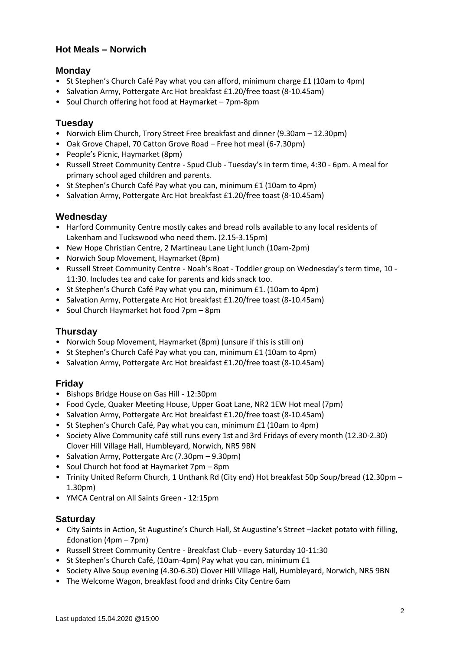# **Hot Meals – Norwich**

## **Monday**

- St Stephen's Church Café Pay what you can afford, minimum charge £1 (10am to 4pm)
- Salvation Army, Pottergate Arc Hot breakfast £1.20/free toast (8-10.45am)
- Soul Church offering hot food at Haymarket 7pm-8pm

#### **Tuesday**

- Norwich Elim Church, Trory Street Free breakfast and dinner (9.30am 12.30pm)
- Oak Grove Chapel, 70 Catton Grove Road Free hot meal (6-7.30pm)
- People's Picnic, Haymarket (8pm)
- Russell Street Community Centre Spud Club Tuesday's in term time, 4:30 6pm. A meal for primary school aged children and parents.
- St Stephen's Church Café Pay what you can, minimum £1 (10am to 4pm)
- Salvation Army, Pottergate Arc Hot breakfast £1.20/free toast (8-10.45am)

#### **Wednesday**

- Harford Community Centre mostly cakes and bread rolls available to any local residents of Lakenham and Tuckswood who need them. (2.15-3.15pm)
- New Hope Christian Centre, 2 Martineau Lane Light lunch (10am-2pm)
- Norwich Soup Movement, Haymarket (8pm)
- Russell Street Community Centre Noah's Boat Toddler group on Wednesday's term time, 10 11:30. Includes tea and cake for parents and kids snack too.
- St Stephen's Church Café Pay what you can, minimum £1. (10am to 4pm)
- Salvation Army, Pottergate Arc Hot breakfast £1.20/free toast (8-10.45am)
- Soul Church Haymarket hot food 7pm 8pm

# **Thursday**

- Norwich Soup Movement, Haymarket (8pm) (unsure if this is still on)
- St Stephen's Church Café Pay what you can, minimum £1 (10am to 4pm)
- Salvation Army, Pottergate Arc Hot breakfast £1.20/free toast (8-10.45am)

#### **Friday**

- Bishops Bridge House on Gas Hill 12:30pm
- Food Cycle, Quaker Meeting House, Upper Goat Lane, NR2 1EW Hot meal (7pm)
- Salvation Army, Pottergate Arc Hot breakfast £1.20/free toast (8-10.45am)
- St Stephen's Church Café, Pay what you can, minimum £1 (10am to 4pm)
- Society Alive Community café still runs every 1st and 3rd Fridays of every month (12.30-2.30) Clover Hill Village Hall, Humbleyard, Norwich, NR5 9BN
- Salvation Army, Pottergate Arc (7.30pm 9.30pm)
- Soul Church hot food at Haymarket 7pm 8pm
- Trinity United Reform Church, 1 Unthank Rd (City end) Hot breakfast 50p Soup/bread (12.30pm 1.30pm)
- YMCA Central on All Saints Green 12:15pm

#### **Saturday**

- City Saints in Action, St Augustine's Church Hall, St Augustine's Street –Jacket potato with filling, £donation (4pm – 7pm)
- Russell Street Community Centre Breakfast Club every Saturday 10-11:30
- St Stephen's Church Café, (10am-4pm) Pay what you can, minimum £1
- Society Alive Soup evening (4.30-6.30) Clover Hill Village Hall, Humbleyard, Norwich, NR5 9BN
- The Welcome Wagon, breakfast food and drinks City Centre 6am